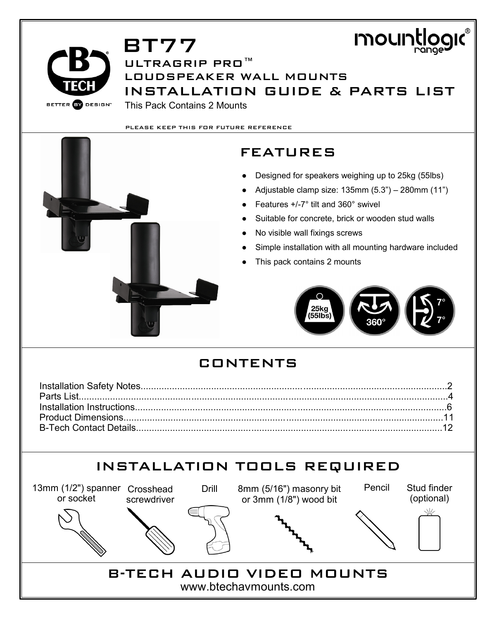



BT77 ULTRAGRIP PRO™ LOUDSPEAKER WALL MOUNTS INSTALLATION GUIDE & PARTS LIST This Pack Contains 2 Mounts

PLEASE KEEP THIS FOR FUTURE REFERENCE



- Designed for speakers weighing up to 25kg (55lbs)
- Adjustable clamp size:  $135$ mm  $(5.3") 280$ mm  $(11")$
- Features  $+/-7$ ° tilt and 360° swivel
- Suitable for concrete, brick or wooden stud walls
- No visible wall fixings screws
- Simple installation with all mounting hardware included
- This pack contains 2 mounts

 $25k<sub>q</sub>$  $(55Ib)$ s

### CONTENTS

# INSTALLATION TOOLS REQUIRED

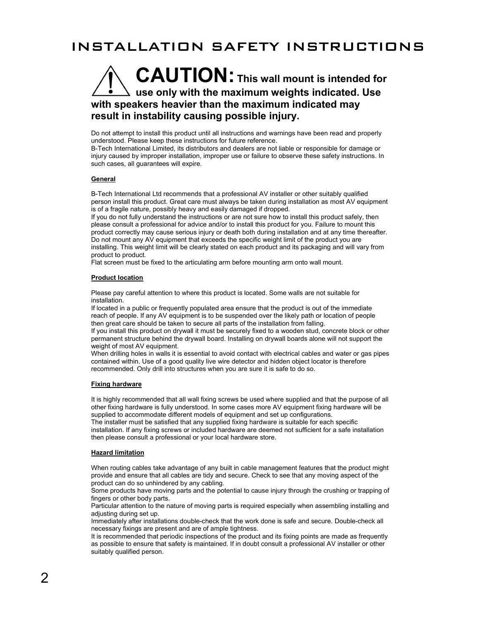### INSTALLATION SAFETY INSTRUCTIONS

### **CAUTION: This wall mount is intended for use only with the maximum weights indicated. Use with speakers heavier than the maximum indicated may result in instability causing possible injury.**

Do not attempt to install this product until all instructions and warnings have been read and properly understood. Please keep these instructions for future reference.

B-Tech International Limited, its distributors and dealers are not liable or responsible for damage or injury caused by improper installation, improper use or failure to observe these safety instructions. In such cases, all guarantees will expire.

#### **General**

B-Tech International Ltd recommends that a professional AV installer or other suitably qualified person install this product. Great care must always be taken during installation as most AV equipment is of a fragile nature, possibly heavy and easily damaged if dropped.

If you do not fully understand the instructions or are not sure how to install this product safely, then please consult a professional for advice and/or to install this product for you. Failure to mount this product correctly may cause serious injury or death both during installation and at any time thereafter. Do not mount any AV equipment that exceeds the specific weight limit of the product you are installing. This weight limit will be clearly stated on each product and its packaging and will vary from product to product.

Flat screen must be fixed to the articulating arm before mounting arm onto wall mount.

#### **Product location**

Please pay careful attention to where this product is located. Some walls are not suitable for installation.

If located in a public or frequently populated area ensure that the product is out of the immediate reach of people. If any AV equipment is to be suspended over the likely path or location of people then great care should be taken to secure all parts of the installation from falling.

If you install this product on drywall it must be securely fixed to a wooden stud, concrete block or other permanent structure behind the drywall board. Installing on drywall boards alone will not support the weight of most AV equipment.

When drilling holes in walls it is essential to avoid contact with electrical cables and water or gas pipes contained within. Use of a good quality live wire detector and hidden object locator is therefore recommended. Only drill into structures when you are sure it is safe to do so.

#### **Fixing hardware**

It is highly recommended that all wall fixing screws be used where supplied and that the purpose of all other fixing hardware is fully understood. In some cases more AV equipment fixing hardware will be supplied to accommodate different models of equipment and set up configurations.

The installer must be satisfied that any supplied fixing hardware is suitable for each specific installation. If any fixing screws or included hardware are deemed not sufficient for a safe installation then please consult a professional or your local hardware store.

#### **Hazard limitation**

When routing cables take advantage of any built in cable management features that the product might provide and ensure that all cables are tidy and secure. Check to see that any moving aspect of the product can do so unhindered by any cabling.

Some products have moving parts and the potential to cause injury through the crushing or trapping of fingers or other body parts.

Particular attention to the nature of moving parts is required especially when assembling installing and adjusting during set up.

Immediately after installations double-check that the work done is safe and secure. Double-check all necessary fixings are present and are of ample tightness.

It is recommended that periodic inspections of the product and its fixing points are made as frequently as possible to ensure that safety is maintained. If in doubt consult a professional AV installer or other suitably qualified person.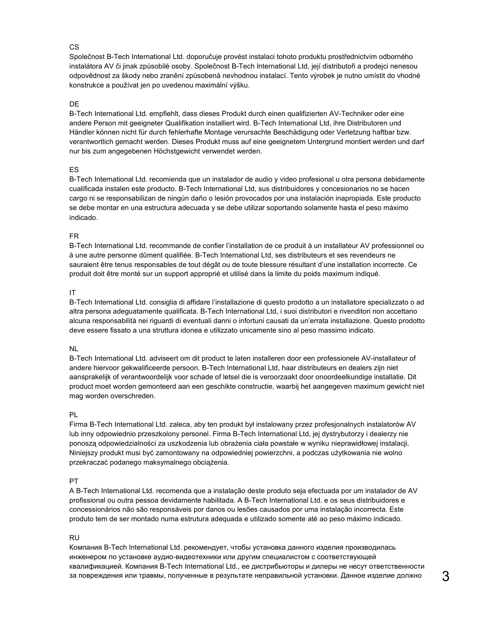#### $CS$

Společnost B-Tech International Ltd. doporučuje provést instalaci tohoto produktu prostřednictvím odborného instalátora AV či jinak způsobilé osoby. Společnost B-Tech International Ltd, její distributoři a prodejci nenesou odpovědnost za škody nebo zranění způsobená nevhodnou instalací. Tento výrobek je nutno umístit do vhodné konstrukce a používat jen po uvedenou maximální výšku.

#### DE

B-Tech International Ltd. empfiehlt, dass dieses Produkt durch einen qualifizierten AV-Techniker oder eine andere Person mit geeigneter Qualifikation installiert wird. B-Tech International Ltd, ihre Distributoren und Händler können nicht für durch fehlerhafte Montage verursachte Beschädigung oder Verletzung haftbar bzw. verantwortlich gemacht werden. Dieses Produkt muss auf eine geeignetem Untergrund montiert werden und darf nur bis zum angegebenen Höchstgewicht verwendet werden.

#### ES

B-Tech International Ltd. recomienda que un instalador de audio y video profesional u otra persona debidamente cualificada instalen este producto. B-Tech International Ltd, sus distribuidores y concesionarios no se hacen cargo ni se responsabilizan de ningún daño o lesión provocados por una instalación inapropiada. Este producto se debe montar en una estructura adecuada y se debe utilizar soportando solamente hasta el peso máximo indicado.

#### FR

B-Tech International Ltd. recommande de confier l'installation de ce produit à un installateur AV professionnel ou à une autre personne dûment qualifiée. B-Tech International Ltd, ses distributeurs et ses revendeurs ne sauraient être tenus responsables de tout dégât ou de toute blessure résultant d'une installation incorrecte. Ce produit doit être monté sur un support approprié et utilisé dans la limite du poids maximum indiqué.

#### IT

B-Tech International Ltd. consiglia di affidare l'installazione di questo prodotto a un installatore specializzato o ad altra persona adeguatamente qualificata. B-Tech International Ltd, i suoi distributori e rivenditori non accettano alcuna responsabilità nei riguardi di eventuali danni o infortuni causati da un'errata installazione. Questo prodotto deve essere fissato a una struttura idonea e utilizzato unicamente sino al peso massimo indicato.

#### NL

B-Tech International Ltd. adviseert om dit product te laten installeren door een professionele AV-installateur of andere hiervoor gekwalificeerde persoon. B-Tech International Ltd, haar distributeurs en dealers zijn niet aansprakelijk of verantwoordelijk voor schade of letsel die is veroorzaakt door onoordeelkundige installatie. Dit product moet worden gemonteerd aan een geschikte constructie, waarbij het aangegeven maximum gewicht niet mag worden overschreden.

#### PL

Firma B-Tech International Ltd. zaleca, aby ten produkt był instalowany przez profesjonalnych instalatorów AV lub inny odpowiednio przeszkolony personel. Firma B-Tech International Ltd, jej dystrybutorzy i dealerzy nie ponoszą odpowiedzialności za uszkodzenia lub obrażenia ciała powstałe w wyniku nieprawidłowej instalacji. Niniejszy produkt musi być zamontowany na odpowiedniej powierzchni, a podczas użytkowania nie wolno przekraczać podanego maksymalnego obciążenia.

#### PT

A B-Tech International Ltd. recomenda que a instalação deste produto seja efectuada por um instalador de AV profissional ou outra pessoa devidamente habilitada. A B-Tech International Ltd. e os seus distribuidores e concessionários não são responsáveis por danos ou lesões causados por uma instalação incorrecta. Este produto tem de ser montado numa estrutura adequada e utilizado somente até ao peso máximo indicado.

#### RU

Компания B-Tech International Ltd. рекомендует, чтобы установка данного изделия производилась инженером по установке аудио-видеотехники или другим специалистом с соответствующей квалификацией. Компания B-Tech International Ltd., ее дистрибьюторы и дилеры не несут ответственности за повреждения или травмы, полученные в результате неправильной установки. Данное изделие должно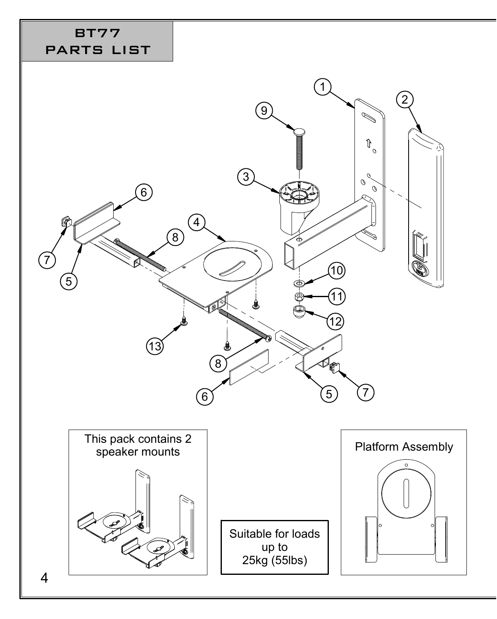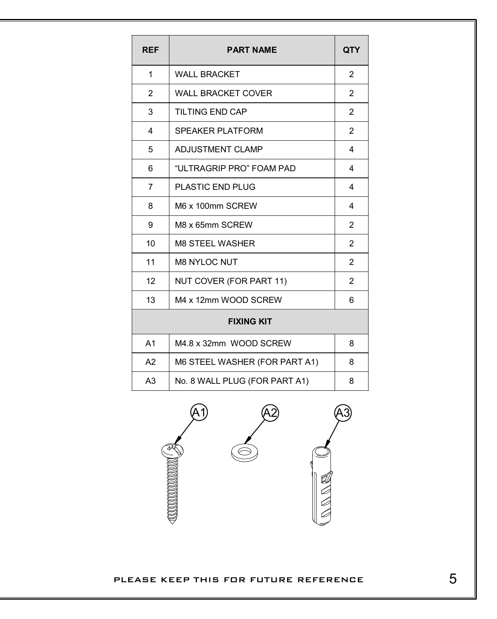| <b>REF</b>        | <b>PART NAME</b>              | QTY                     |
|-------------------|-------------------------------|-------------------------|
| 1                 | <b>WALL BRACKET</b>           | 2                       |
| 2                 | <b>WALL BRACKET COVER</b>     | $\overline{2}$          |
| 3                 | TILTING END CAP               | $\overline{2}$          |
| 4                 | <b>SPEAKER PLATFORM</b>       | $\overline{2}$          |
| 5                 | <b>ADJUSTMENT CLAMP</b>       | 4                       |
| 6                 | "ULTRAGRIP PRO" FOAM PAD      | $\overline{\mathbf{4}}$ |
| $\overline{7}$    | <b>PLASTIC END PLUG</b>       | 4                       |
| 8                 | M6 x 100mm SCREW              | $\overline{\mathbf{4}}$ |
| 9                 | M8 x 65mm SCREW               | $\overline{2}$          |
| 10                | <b>M8 STEEL WASHER</b>        | $\overline{2}$          |
| 11                | <b>M8 NYLOC NUT</b>           | $\overline{2}$          |
| 12                | NUT COVER (FOR PART 11)       | $\overline{2}$          |
| 13                | M4 x 12mm WOOD SCREW          | 6                       |
| <b>FIXING KIT</b> |                               |                         |
| A <sub>1</sub>    | M4.8 x 32mm WOOD SCREW        | 8                       |
| A2                | M6 STEEL WASHER (FOR PART A1) | 8                       |
| A <sub>3</sub>    | No. 8 WALL PLUG (FOR PART A1) | 8                       |



PLEASE KEEP THIS FOR FUTURE REFERENCE  $5$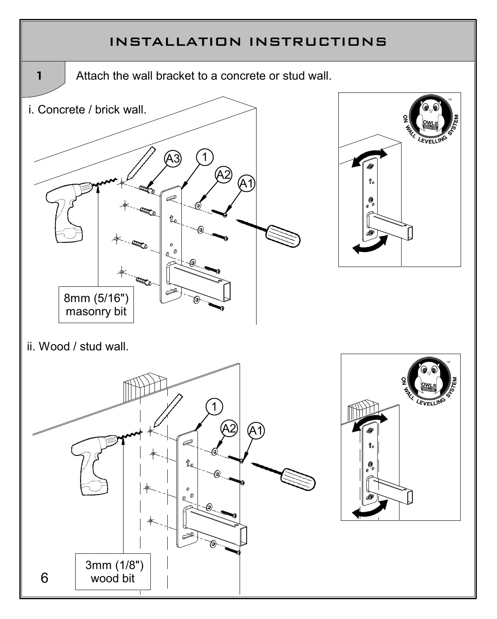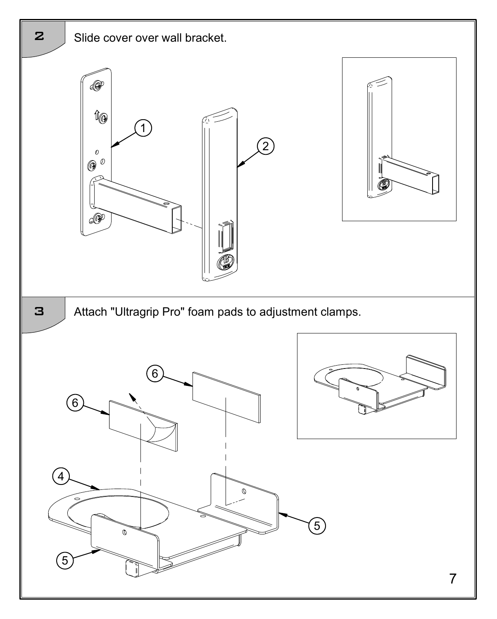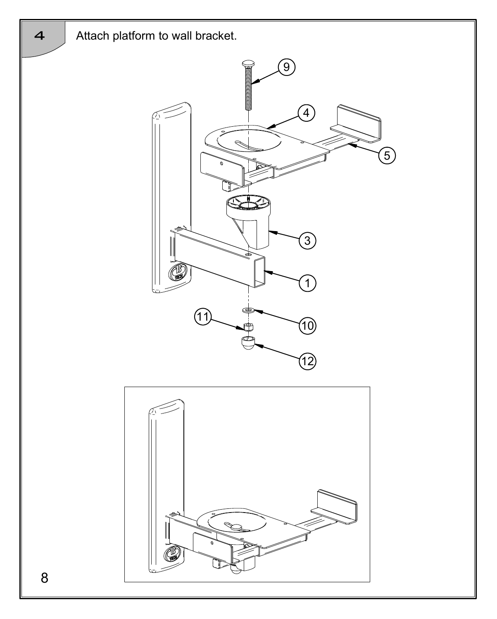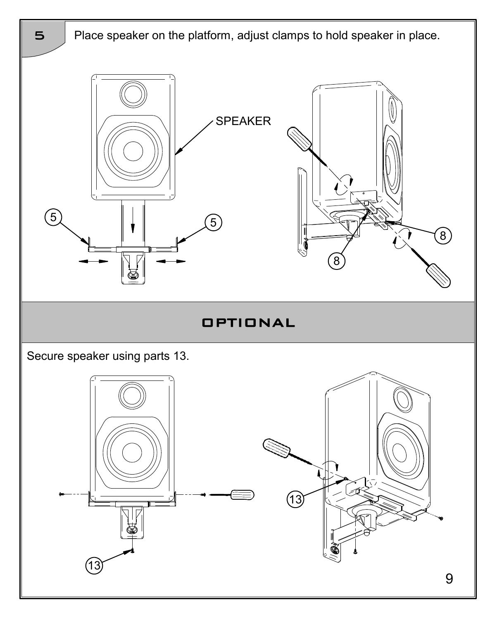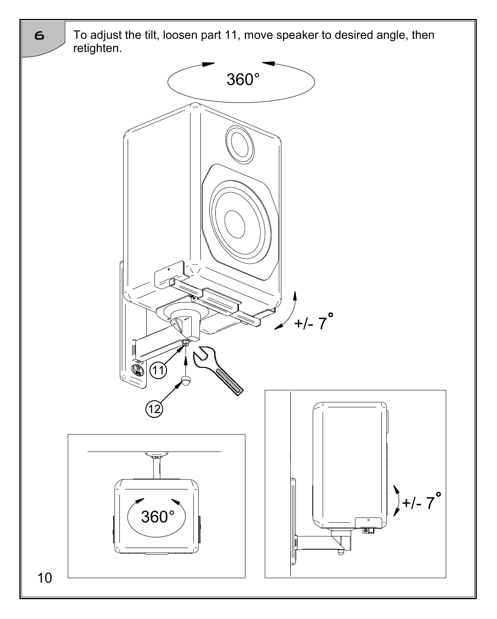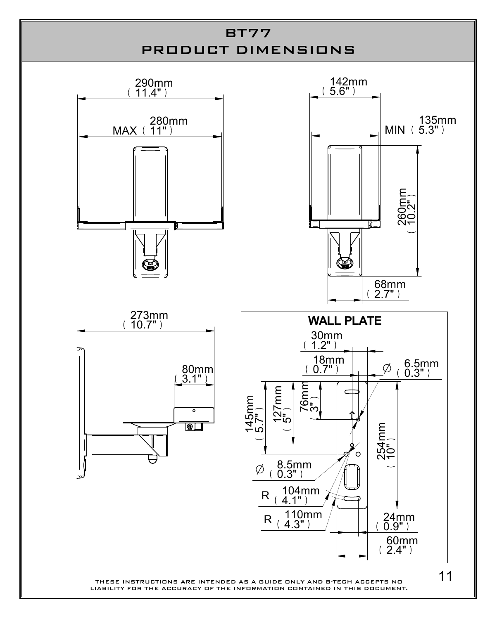